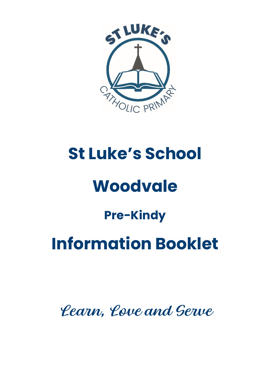

# **St Luke's School**

# **Woodvale**

## **Pre-Kindy**

# **Information Booklet**

Learn, Love and Serve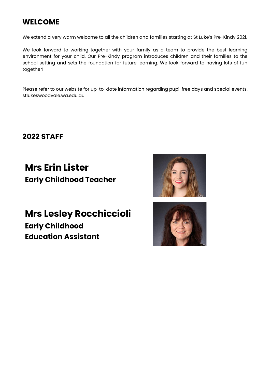### **WELCOME**

We extend a very warm welcome to all the children and families starting at St Luke's Pre-Kindy 2021.

We look forward to working together with your family as a team to provide the best learning environment for your child. Our Pre-Kindy program introduces children and their families to the school setting and sets the foundation for future learning. We look forward to having lots of fun together!

Please refer to our website for up-to-date information regarding pupil free days and special events. stlukeswoodvale.wa.edu.au

**2022 STAFF**

## **Mrs Erin Lister Early Childhood Teacher**



**Mrs Lesley Rocchiccioli Early Childhood Education Assistant**

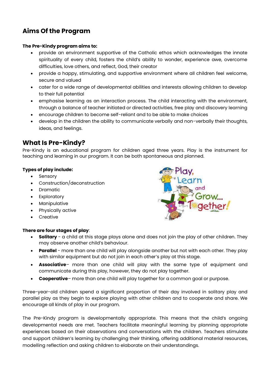### **Aims Of the Program**

#### **The Pre-Kindy program aims to:**

- provide an environment supportive of the Catholic ethos which acknowledges the innate spirituality of every child, fosters the child's ability to wonder, experience awe, overcome difficulties, love others, and reflect, God, their creator
- provide a happy, stimulating, and supportive environment where all children feel welcome, secure and valued
- cater for a wide range of developmental abilities and interests allowing children to develop to their full potential
- emphasise learning as an interaction process. The child interacting with the environment, through a balance of teacher initiated or directed activities, free play and discovery learning
- encourage children to become self-reliant and to be able to make choices
- develop in the children the ability to communicate verbally and non-verbally their thoughts, ideas, and feelings.

#### **What Is Pre-Kindy?**

Pre-Kindy is an educational program for children aged three years. Play is the instrument for teaching and learning in our program. It can be both spontaneous and planned.

#### **Types of play include:**

- **Sensory**
- Construction/deconstruction
- Dramatic
- **Exploratory**
- **Manipulative**
- Physically active
- **Creative**

## **There are four stages of play**:



- **Solitary**  a child at this stage plays alone and does not join the play of other children. They may observe another child's behaviour.
- **Parallel** more than one child will play alongside another but not with each other. They play with similar equipment but do not join in each other's play at this stage.
- **Associative** more than one child will play with the same type of equipment and communicate during this play, however, they do not play together.
- **Cooperative** more than one child will play together for a common goal or purpose.

Three-year-old children spend a significant proportion of their day involved in solitary play and parallel play as they begin to explore playing with other children and to cooperate and share. We encourage all kinds of play in our program.

The Pre-Kindy program is developmentally appropriate. This means that the child's ongoing developmental needs are met. Teachers facilitate meaningful learning by planning appropriate experiences based on their observations and conversations with the children. Teachers stimulate and support children's learning by challenging their thinking, offering additional material resources, modelling reflection and asking children to elaborate on their understandings.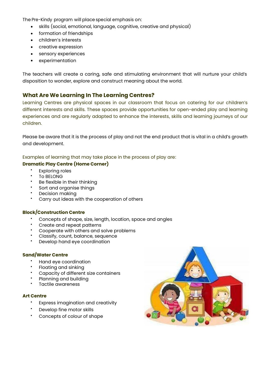The Pre-Kindy program will place special emphasis on:

- skills (social, emotional, language, cognitive, creative and physical)
- formation of friendships
- children's interests
- creative expression
- sensory experiences
- experimentation

The teachers will create a caring, safe and stimulating environment that will nurture your child's disposition to wonder, explore and construct meaning about the world.

#### **What Are We Learning In The Learning Centres?**

Learning Centres are physical spaces in our classroom that focus on catering for our children's different interests and skills. These spaces provide opportunities for open-ended play and learning experiences and are regularly adapted to enhance the interests, skills and learning journeys of our children.

Please be aware that it is the process of play and not the end product that is vital in a child's growth and development.

Examples of learning that may take place in the process of play are:

#### **Dramatic Play Centre (Home Corner)**

- **Exploring roles**
- **TO BELONG**
- Be flexible in their thinking
- Sort and organise things
- Decision making
- Carry out ideas with the cooperation of others

#### **Block/Construction Centre**

- Concepts of shape, size, length, location, space and angles
- Create and repeat patterns
- Cooperate with others and solve problems
- Classify, count, balance, sequence
- Develop hand eye coordination

#### **Sand/Water Centre**

- Hand eye coordination
- Floating and sinking
- Capacity of different size containers
- Planning and building
- Tactile awareness

#### **Art Centre**

- Express imagination and creativity
- Develop fine motor skills
- Concepts of colour of shape

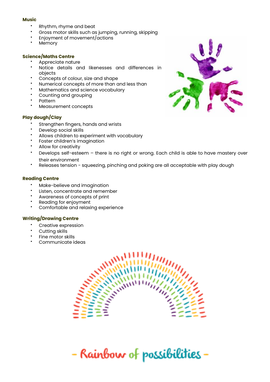#### **Music**

- Rhythm, rhyme and beat
- Gross motor skills such as jumping, running, skipping
- Enjoyment of movement/actions
- **Memory**

#### **Science/Maths Centre**

- Appreciate nature
- Notice details and likenesses and differences in objects
- Concepts of colour, size and shape
- Numerical concepts of more than and less than
- Mathematics and science vocabulary
- Counting and grouping
- Pattern
- Measurement concepts

#### **Play dough/Clay**

- Strengthen fingers, hands and wrists
- Develop social skills
- Allows children to experiment with vocabulary
- Foster children's imagination
- Allow for creativity
- Develops self-esteem there is no right or wrong. Each child is able to have mastery over their environment
- Releases tension squeezing, pinching and poking are all acceptable with play dough

#### **Reading Centre**

- Make-believe and imagination
- Listen, concentrate and remember
- Awareness of concepts of print
- Reading for enjoyment
- Comfortable and relaxing experience

#### **Writing/Drawing Centre**

- Creative expression
- Cutting skills
- Fine motor skills
- Communicate ideas



- Rainbow of possibilities -

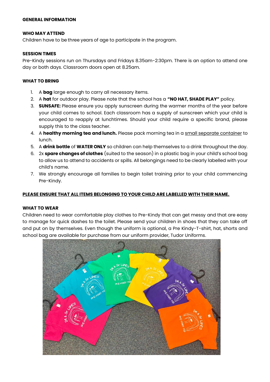#### **GENERAL INFORMATION**

#### **WHO MAY ATTEND**

Children have to be three years of age to participate in the program.

#### **SESSION TIMES**

Pre-Kindy sessions run on Thursdays and Fridays 8.35am-2:30pm. There is an option to attend one day or both days. Classroom doors open at 8.25am.

#### **WHAT TO BRING**

- 1. A **bag** large enough to carry all necessary items.
- 2. A **hat** for outdoor play. Please note that the school has a **"NO HAT, SHADE PLAY"** policy.
- 3. **SUNSAFE:** Please ensure you apply sunscreen during the warmer months of the year before your child comes to school. Each classroom has a supply of sunscreen which your child is encouraged to reapply at lunchtimes. Should your child require a specific brand, please supply this to the class teacher.
- 4. A **healthy morning tea and lunch.** Please pack morning tea in a small separate container to lunch.
- 5. A **drink bottle** of **WATER ONLY** so children can help themselves to a drink throughout the day.
- 6. 2x **spare changes of clothes** (suited to the season) in a plastic bag in your child's school bag to allow us to attend to accidents or spills. All belongings need to be clearly labelled with your child's name.
- 7. We strongly encourage all families to begin toilet training prior to your child commencing Pre-Kindy.

#### **PLEASE ENSURE THAT ALL ITEMS BELONGING TO YOUR CHILD ARE LABELLED WITH THEIR NAME.**

#### **WHAT TO WEAR**

Children need to wear comfortable play clothes to Pre-Kindy that can get messy and that are easy to manage for quick dashes to the toilet. Please send your children in shoes that they can take off and put on by themselves. Even though the uniform is optional, a Pre Kindy-T-shirt, hat, shorts and school bag are available for purchase from our uniform provider, Tudor Uniforms.

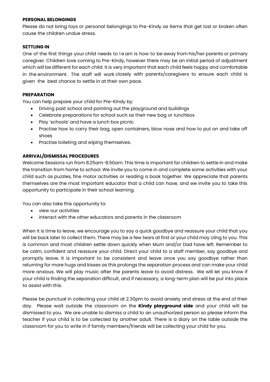#### **PERSONAL BELONGINGS**

Please do not bring toys or personal belongings to Pre-Kindy as items that get lost or broken often cause the children undue stress.

#### **SETTLING IN**

One of the first things your child needs to l e arn is how to be away from his/her parents or primary caregiver. Children love coming to Pre-Kindy, however there may be an initial period of adjustment which will be different for each child. It is very important that each child feels happy and comfortable in the environment. The staff will work closely with parents/caregivers to ensure each child is given the best chance to settle in at their own pace.

#### **PREPARATION**

You can help prepare your child for Pre-Kindy by:

- Driving past school and pointing out the playground and buildings
- Celebrate preparations for school such as their new bag or lunchbox
- Play 'schools' and have a lunch box picnic
- Practise how to carry their bag, open containers, blow nose and how to put on and take off shoes
- Practise toileting and wiping themselves.

#### **ARRIVAL/DISMISSAL PROCEDURES**

Welcome Sessions run from 8.25am-8.50am. This time is important for children to settle in and make the transition from home to school. We invite you to come in and complete some activities with your child such as puzzles, fine motor activities or reading a book together. We appreciate that parents themselves are the most important educator that a child can have, and we invite you to take this opportunity to participate in their school learning.

You can also take this opportunity to:

- view our activities
- interact with the other educators and parents in the classroom

When it is time to leave, we encourage you to say a quick goodbye and reassure your child that you will be back later to collect them. There may be a few tears at first or your child may cling to you. This is common and most children settle down quickly when Mum and/or Dad have left. Remember to be calm, confident and reassure your child. Direct your child to a staff member, say goodbye and promptly leave. It is important to be consistent and leave once you say goodbye rather than returning for more hugs and kisses as this prolongs the separation process and can make your child more anxious. We will play music after the parents leave to avoid distress. We will let you know if your child is finding the separation difficult, and if necessary, a long-term plan will be put into place to assist with this.

Please be punctual in collecting your child at 2.30pm to avoid anxiety and stress at the end of their day. Please wait outside the classroom on the **Kindy playground side** and your child will be dismissed to you. We are unable to dismiss a child to an unauthorized person so please inform the teacher if your child is to be collected by another adult. There is a diary on the table outside the classroom for you to write in if family members/friends will be collecting your child for you.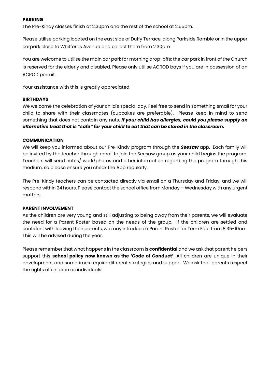#### **PARKING**

The Pre-Kindy classes finish at 2.30pm and the rest of the school at 2.55pm.

Please utilise parking located on the east side of Duffy Terrace, along Parkside Ramble or in the upper carpark close to Whitfords Avenue and collect them from 2.30pm.

You are welcome to utilise the main car park for morning drop-offs; the car park in front of the Church is reserved for the elderly and disabled. Please only utilise ACROD bays if you are in possession of an ACROD permit.

Your assistance with this is greatly appreciated.

#### **BIRTHDAYS**

We welcome the celebration of your child's special day. Feel free to send in something small for your child to share with their classmates (cupcakes are preferable). Please keep in mind to send something that does not contain any nuts. *If your child has allergies, could you please supply an alternative treat that is "safe" for your child to eat that can be stored in the classroom.*

#### **COMMUNICATION**

We will keep you informed about our Pre-Kindy program through the *Seesaw* app. Each family will be invited by the teacher through email to join the Seesaw group as your child begins the program. Teachers will send notes/ work/photos and other information regarding the program through this medium, so please ensure you check the App regularly.

The Pre-Kindy teachers can be contacted directly via email on a Thursday and Friday, and we will respond within 24 hours. Please contact the school office from Monday – Wednesday with any urgent matters.

#### **PARENT INVOLVEMENT**

As the children are very young and still adjusting to being away from their parents, we will evaluate the need for a Parent Roster based on the needs of the group. If the children are settled and confident with leaving their parents, we may introduce a Parent Roster for Term Four from 8.35-10am. This will be advised during the year.

Please remember that what happens in the classroom is **confidential** and we ask that parent helpers support this **school policy now known as the 'Code of Conduct'**. All children are unique in their development and sometimes require different strategies and support. We ask that parents respect the rights of children as individuals.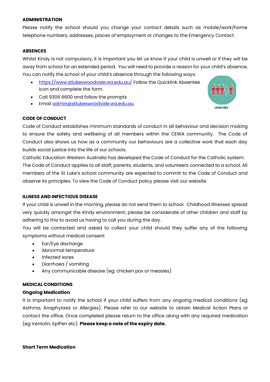#### **ADMINISTRATION**

Please notify the school should you change your contact details such as mobile/work/home telephone numbers, addresses, places of employment or changes to the Emergency Contact.

#### **ABSENCES**

Whilst Kindy is not compulsory, it is important you let us know if your child is unwell or if they will be away from school for an extended period. You will need to provide a reason for your child's absence, You can notify the school of your child's absence through the following ways:

- <https://www.stlukeswoodvale.wa.edu.au/> Follow the Quicklink Absentee icon and complete the form.
- Call 9306 6600 and follow the prompts
- Email [admin@stlukeswoodvale.wa.edu.au](mailto:admin@stlukeswoodvale.wa.edu.au)



#### **CODE OF CONDUCT**

Code of Conduct establishes minimum standards of conduct in all behaviour and decision making to ensure the safety and wellbeing of all members within the CEWA community. The Code of Conduct also shows us how as a community our behaviours are a collective work that each day builds social justice into the life of our schools.

Catholic Education Western Australia has developed the Code of Conduct for the Catholic system. The Code of Conduct applies to all staff, parents, students, and volunteers connected to a school. All members of the St Luke's school community are expected to commit to the Code of Conduct and observe its principles. To view the Code of Conduct policy please visit our website.

#### **ILLNESS AND INFECTIOUS DISEASE**

If your child is unwell in the morning, please do not send them to school. Childhood illnesses spread very quickly amongst the Kindy environment; please be considerate of other children and staff by adhering to this to avoid us having to call you during the day.

You will be contacted and asked to collect your child should they suffer any of the following symptoms without medical consent:

- Ear/Eye discharge
- Abnormal temperature
- Infected sores
- Diarrhoea / vomiting
- Any communicable disease (eg: chicken pox or measles)

#### **MEDICAL CONDITIONS**

#### **Ongoing Medication**

It is important to notify the school If your child suffers from any ongoing medical conditions (eg: Asthma, Anaphylaxis or Allergies). Please refer to our website to obtain Medical Action Plans or contact the office. Once completed please return to the office along with any required medication (eg Ventolin, EpiPen etc). **Please keep a note of the expiry date.**

#### **Short Term Medication**